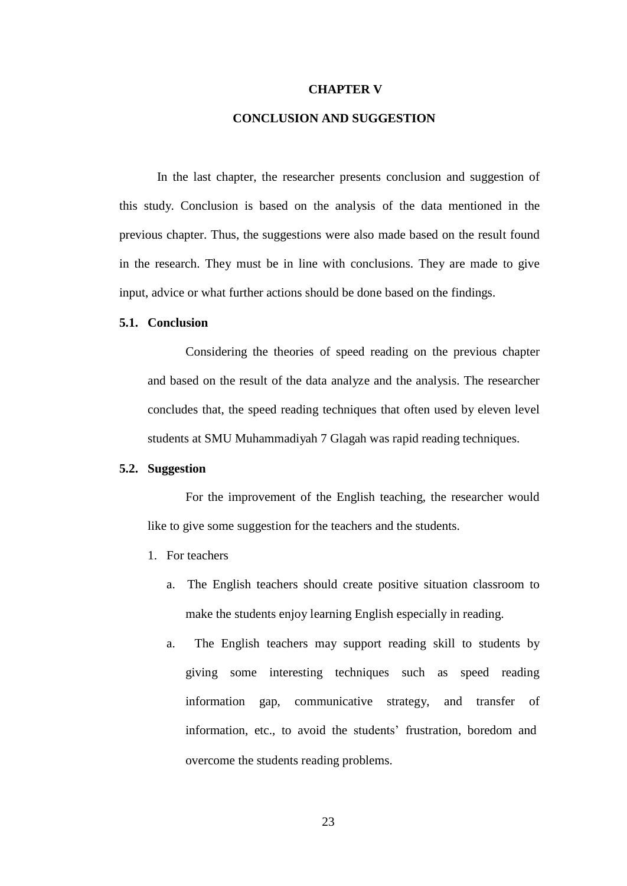## **CHAPTER V**

## **CONCLUSION AND SUGGESTION**

In the last chapter, the researcher presents conclusion and suggestion of this study. Conclusion is based on the analysis of the data mentioned in the previous chapter. Thus, the suggestions were also made based on the result found in the research. They must be in line with conclusions. They are made to give input, advice or what further actions should be done based on the findings.

## **5.1. Conclusion**

Considering the theories of speed reading on the previous chapter and based on the result of the data analyze and the analysis. The researcher concludes that, the speed reading techniques that often used by eleven level students at SMU Muhammadiyah 7 Glagah was rapid reading techniques.

## **5.2. Suggestion**

For the improvement of the English teaching, the researcher would like to give some suggestion for the teachers and the students.

- 1. For teachers
	- a. The English teachers should create positive situation classroom to make the students enjoy learning English especially in reading.
	- a. The English teachers may support reading skill to students by giving some interesting techniques such as speed reading information gap, communicative strategy, and transfer of information, etc., to avoid the students' frustration, boredom and overcome the students reading problems.